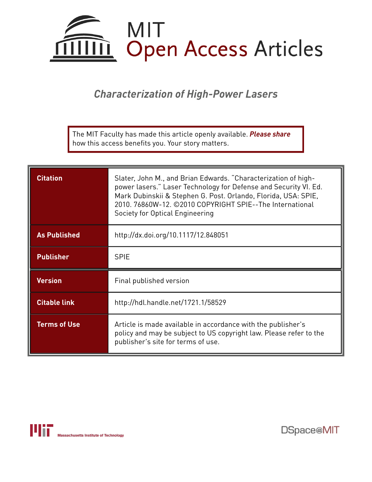

*Characterization of High-Power Lasers*

The MIT Faculty has made this article openly available. *[Please](https://libraries.mit.edu/forms/dspace-oa-articles.html) share* how this access benefits you. Your story matters.

| <b>Citation</b>     | Slater, John M., and Brian Edwards. "Characterization of high-<br>power lasers." Laser Technology for Defense and Security VI. Ed.<br>Mark Dubinskii & Stephen G. Post. Orlando, Florida, USA: SPIE,<br>2010, 76860W-12, ©2010 COPYRIGHT SPIE--The International<br>Society for Optical Engineering |  |
|---------------------|-----------------------------------------------------------------------------------------------------------------------------------------------------------------------------------------------------------------------------------------------------------------------------------------------------|--|
| <b>As Published</b> | http://dx.doi.org/10.1117/12.848051                                                                                                                                                                                                                                                                 |  |
| <b>Publisher</b>    | <b>SPIE</b>                                                                                                                                                                                                                                                                                         |  |
| <b>Version</b>      | Final published version                                                                                                                                                                                                                                                                             |  |
| <b>Citable link</b> | http://hdl.handle.net/1721.1/58529                                                                                                                                                                                                                                                                  |  |
| <b>Terms of Use</b> | Article is made available in accordance with the publisher's<br>policy and may be subject to US copyright law. Please refer to the<br>publisher's site for terms of use.                                                                                                                            |  |



DSpace@MIT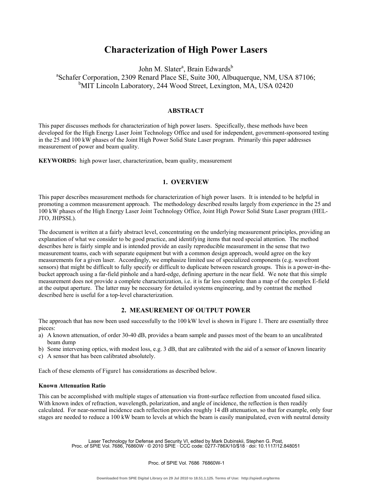# **Characterization of High Power Lasers**

John M. Slater<sup>a</sup>, Brain Edwards<sup>b</sup> a Schafer Corporation, 2309 Renard Place SE, Suite 300, Albuquerque, NM, USA 87106; <sup>b</sup>MIT Lincoln Laboratory, 244 Wood Street, Lexington, MA, USA 02420

## **ABSTRACT**

This paper discusses methods for characterization of high power lasers. Specifically, these methods have been developed for the High Energy Laser Joint Technology Office and used for independent, government-sponsored testing in the 25 and 100 kW phases of the Joint High Power Solid State Laser program. Primarily this paper addresses measurement of power and beam quality.

**KEYWORDS:** high power laser, characterization, beam quality, measurement

# **1. OVERVIEW**

This paper describes measurement methods for characterization of high power lasers. It is intended to be helpful in promoting a common measurement approach. The methodology described results largely from experience in the 25 and 100 kW phases of the High Energy Laser Joint Technology Office, Joint High Power Solid State Laser program (HEL-JTO, JHPSSL).

The document is written at a fairly abstract level, concentrating on the underlying measurement principles, providing an explanation of what we consider to be good practice, and identifying items that need special attention. The method describes here is fairly simple and is intended provide an easily reproducible measurement in the sense that two measurement teams, each with separate equipment but with a common design approach, would agree on the key measurements for a given laser. Accordingly, we emphasize limited use of specialized components (e.g. wavefront sensors) that might be difficult to fully specify or difficult to duplicate between research groups. This is a power-in-thebucket approach using a far-field pinhole and a hard-edge, defining aperture in the near field. We note that this simple measurement does not provide a complete characterization, i.e. it is far less complete than a map of the complex E-field at the output aperture. The latter may be necessary for detailed systems engineering, and by contrast the method described here is useful for a top-level characterization.

## **2. MEASUREMENT OF OUTPUT POWER**

The approach that has now been used successfully to the 100 kW level is shown in Figure 1. There are essentially three pieces:

- a) A known attenuation, of order 30-40 dB, provides a beam sample and passes most of the beam to an uncalibrated beam dump
- b) Some intervening optics, with modest loss, e.g. 3 dB, that are calibrated with the aid of a sensor of known linearity
- c) A sensor that has been calibrated absolutely.

Each of these elements of Figure1 has considerations as described below.

#### **Known Attenuation Ratio**

This can be accomplished with multiple stages of attenuation via front-surface reflection from uncoated fused silica. With known index of refraction, wavelength, polarization, and angle of incidence, the reflection is then readily calculated. For near-normal incidence each reflection provides roughly 14 dB attenuation, so that for example, only four stages are needed to reduce a 100 kW beam to levels at which the beam is easily manipulated, even with neutral density

> Laser Technology for Defense and Security VI, edited by Mark Dubinskii, Stephen G. Post, Proc. of SPIE Vol. 7686, 76860W · © 2010 SPIE · CCC code: 0277-786X/10/\$18 · doi: 10.1117/12.848051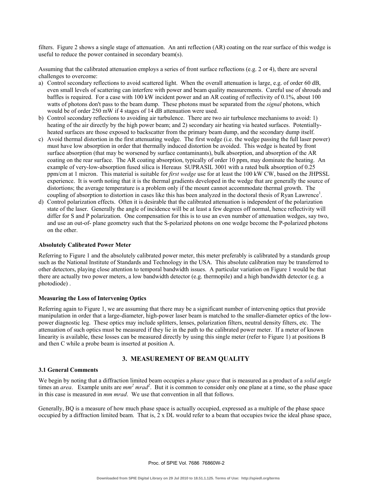filters. Figure 2 shows a single stage of attenuation. An anti reflection (AR) coating on the rear surface of this wedge is useful to reduce the power contained in secondary beam(s).

Assuming that the calibrated attenuation employs a series of front surface reflections (e.g. 2 or 4), there are several challenges to overcome:

- a) Control secondary reflections to avoid scattered light. When the overall attenuation is large, e.g. of order 60 dB, even small levels of scattering can interfere with power and beam quality measurements. Careful use of shrouds and baffles is required. For a case with 100 kW incident power and an AR coating of reflectivity of 0.1%, about 100 watts of photons don't pass to the beam dump. These photons must be separated from the *signal* photons, which would be of order 250 mW if 4 stages of 14 dB attenuation were used.
- b) Control secondary reflections to avoiding air turbulence. There are two air turbulence mechanisms to avoid: 1) heating of the air directly by the high power beam; and 2) secondary air heating via heated surfaces. Potentiallyheated surfaces are those exposed to backscatter from the primary beam dump, and the secondary dump itself.
- c) Avoid thermal distortion in the first attenuating wedge. The first wedge (i.e. the wedge passing the full laser power) must have low absorption in order that thermally induced distortion be avoided. This wedge is heated by front surface absorption (that may be worsened by surface contaminants), bulk absorption, and absorption of the AR coating on the rear surface. The AR coating absorption, typically of order 10 ppm, may dominate the heating. An example of very-low-absorption fused silica is Hereaus SUPRASIL 3001 with a rated bulk absorption of 0.25 ppm/cm at 1 micron. This material is suitable for *first wedge* use for at least the 100 kW CW, based on the JHPSSL experience. It is worth noting that it is the thermal gradients developed in the wedge that are generally the source of distortions; the average temperature is a problem only if the mount cannot accommodate thermal growth. The coupling of absorption to distortion in cases like this has been analyzed in the doctoral thesis of Ryan Lawrence<sup>1</sup>.
- d) Control polarization effects. Often it is desirable that the calibrated attenuation is independent of the polarization state of the laser. Generally the angle of incidence will be at least a few degrees off normal, hence reflectivity will differ for S and P polarization. One compensation for this is to use an even number of attenuation wedges, say two, and use an out-of- plane geometry such that the S-polarized photons on one wedge become the P-polarized photons on the other.

#### **Absolutely Calibrated Power Meter**

Referring to Figure 1 and the absolutely calibrated power meter, this meter preferably is calibrated by a standards group such as the National Institute of Standards and Technology in the USA. This absolute calibration may be transferred to other detectors, playing close attention to temporal bandwidth issues. A particular variation on Figure 1 would be that there are actually two power meters, a low bandwidth detector (e.g. thermopile) and a high bandwidth detector (e.g. a photodiode) .

#### **Measuring the Loss of Intervening Optics**

Referring again to Figure 1, we are assuming that there may be a significant number of intervening optics that provide manipulation in order that a large-diameter, high-power laser beam is matched to the smaller-diameter optics of the lowpower diagnostic leg. These optics may include splitters, lenses, polarization filters, neutral density filters, etc. The attenuation of such optics must be measured if they lie in the path to the calibrated power meter. If a meter of known linearity is available, these losses can be measured directly by using this single meter (refer to Figure 1) at positions B and then C while a probe beam is inserted at position A.

## **3. MEASUREMENT OF BEAM QUALITY**

#### **3.1 General Comments**

We begin by noting that a diffraction limited beam occupies a *phase space* that is measured as a product of a *solid angle* times an *area*. Example units are  $mm^2$  mrad<sup>2</sup>. But it is common to consider only one plane at a time, so the phase space in this case is measured in *mm mrad*. We use that convention in all that follows.

Generally, BQ is a measure of how much phase space is actually occupied, expressed as a multiple of the phase space occupied by a diffraction limited beam. That is,  $2 \times DL$  would refer to a beam that occupies twice the ideal phase space,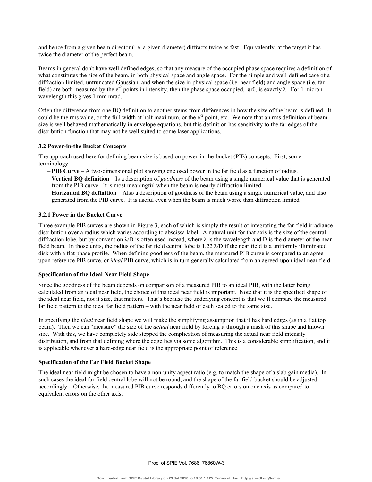and hence from a given beam director (i.e. a given diameter) diffracts twice as fast. Equivalently, at the target it has twice the diameter of the perfect beam.

Beams in general don't have well defined edges, so that any measure of the occupied phase space requires a definition of what constitutes the size of the beam, in both physical space and angle space. For the simple and well-defined case of a diffraction limited, untruncated Gaussian, and when the size in physical space (i.e. near field) and angle space (i.e. far field) are both measured by the e<sup>-2</sup> points in intensity, then the phase space occupied,  $\pi r \theta$ , is exactly  $\lambda$ . For 1 micron wavelength this gives 1 mm mrad.

Often the difference from one BQ definition to another stems from differences in how the size of the beam is defined. It could be the rms value, or the full width at half maximum, or the  $e<sup>2</sup>$  point, etc. We note that an rms definition of beam size is well behaved mathematically in envelope equations, but this definition has sensitivity to the far edges of the distribution function that may not be well suited to some laser applications.

## **3.2 Power-in-the Bucket Concepts**

The approach used here for defining beam size is based on power-in-the-bucket (PIB) concepts. First, some terminology:

- − **PIB Curve** A two-dimensional plot showing enclosed power in the far field as a function of radius.
- − **Vertical BQ definition** Is a description of *goodness* of the beam using a single numerical value that is generated from the PIB curve. It is most meaningful when the beam is nearly diffraction limited.
- − **Horizontal BQ definition** Also a description of goodness of the beam using a single numerical value, and also generated from the PIB curve. It is useful even when the beam is much worse than diffraction limited.

## **3.2.1 Power in the Bucket Curve**

Three example PIB curves are shown in Figure 3, each of which is simply the result of integrating the far-field irradiance distribution over a radius which varies according to abscissa label. A natural unit for that axis is the size of the central diffraction lobe, but by convention  $\lambda/D$  is often used instead, where  $\lambda$  is the wavelength and D is the diameter of the near field beam. In those units, the radius of the far field central lobe is  $1.22 \lambda/D$  if the near field is a uniformly illuminated disk with a flat phase profile. When defining goodness of the beam, the measured PIB curve is compared to an agreeupon reference PIB curve, or *ideal* PIB curve, which is in turn generally calculated from an agreed-upon ideal near field.

# **Specification of the Ideal Near Field Shape**

Since the goodness of the beam depends on comparison of a measured PIB to an ideal PIB, with the latter being calculated from an ideal near field, the choice of this ideal near field is important. Note that it is the specified shape of the ideal near field, not it size, that matters. That's because the underlying concept is that we'll compare the measured far field pattern to the ideal far field pattern – with the near field of each scaled to the same size.

In specifying the *ideal* near field shape we will make the simplifying assumption that it has hard edges (as in a flat top beam). Then we can "measure" the size of the *actual* near field by forcing it through a mask of this shape and known size. With this, we have completely side stepped the complication of measuring the actual near field intensity distribution, and from that defining where the edge lies via some algorithm. This is a considerable simplification, and it is applicable whenever a hard-edge near field is the appropriate point of reference.

## **Specification of the Far Field Bucket Shape**

The ideal near field might be chosen to have a non-unity aspect ratio (e.g. to match the shape of a slab gain media). In such cases the ideal far field central lobe will not be round, and the shape of the far field bucket should be adjusted accordingly. Otherwise, the measured PIB curve responds differently to BQ errors on one axis as compared to equivalent errors on the other axis.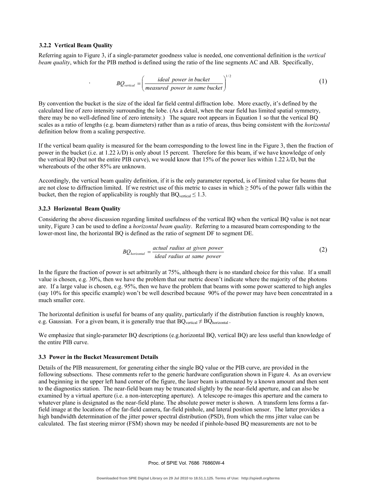#### **3.2.2 Vertical Beam Quality**

Referring again to Figure 3, if a single-parameter goodness value is needed, one conventional definition is the *vertical beam quality*, which for the PIB method is defined using the ratio of the line segments AC and AB. Specifically,

$$
BQ_{vertical} = \left(\frac{ideal\ power\ in\ bucket}{measured\ power\ in\ same\ bucket}\right)^{1/2} \tag{1}
$$

By convention the bucket is the size of the ideal far field central diffraction lobe. More exactly, it's defined by the calculated line of zero intensity surrounding the lobe. (As a detail, when the near field has limited spatial symmetry, there may be no well-defined line of zero intensity.) The square root appears in Equation 1 so that the vertical BQ scales as a ratio of lengths (e.g. beam diameters) rather than as a ratio of areas, thus being consistent with the *horizontal* definition below from a scaling perspective.

If the vertical beam quality is measured for the beam corresponding to the lowest line in the Figure 3, then the fraction of power in the bucket (i.e. at 1.22 λ/D) is only about 15 percent. Therefore for this beam, if we have knowledge of only the vertical BQ (but not the entire PIB curve), we would know that 15% of the power lies within 1.22  $\lambda$ D, but the whereabouts of the other 85% are unknown.

Accordingly, the vertical beam quality definition, if it is the only parameter reported, is of limited value for beams that are not close to diffraction limited. If we restrict use of this metric to cases in which  $\geq$  50% of the power falls within the bucket, then the region of applicability is roughly that  $BQ_{vertical} \leq 1.3$ .

#### **3.2.3 Horizontal Beam Quality**

Considering the above discussion regarding limited usefulness of the vertical BQ when the vertical BQ value is not near unity, Figure 3 can be used to define a *horizontal beam quality*. Referring to a measured beam corresponding to the lower-most line, the horizontal BO is defined as the ratio of segment DF to segment DE.

$$
BQ_{horizontal} = \frac{actual \ radius \ at \ given \ power}{ideal \ radius \ at \ same \ power}
$$
 (2)

In the figure the fraction of power is set arbitrarily at 75%, although there is no standard choice for this value. If a small value is chosen, e.g. 30%, then we have the problem that our metric doesn't indicate where the majority of the photons are. If a large value is chosen, e.g. 95%, then we have the problem that beams with some power scattered to high angles (say 10% for this specific example) won't be well described because 90% of the power may have been concentrated in a much smaller core.

The horizontal definition is useful for beams of any quality, particularly if the distribution function is roughly known, e.g. Gaussian. For a given beam, it is generally true that  $BQ_{vertical} \neq BQ_{horizontal}$ .

We emphasize that single-parameter BQ descriptions (e.g.horizontal BQ, vertical BQ) are less useful than knowledge of the entire PIB curve.

#### **3.3 Power in the Bucket Measurement Details**

Details of the PIB measurement, for generating either the single BQ value or the PIB curve, are provided in the following subsections. These comments refer to the generic hardware configuration shown in Figure 4. As an overview and beginning in the upper left hand corner of the figure, the laser beam is attenuated by a known amount and then sent to the diagnostics station. The near-field beam may be truncated slightly by the near-field aperture, and can also be examined by a virtual aperture (i.e. a non-intercepting aperture). A telescope re-images this aperture and the camera to whatever plane is designated as the near-field plane. The absolute power meter is shown. A transform lens forms a farfield image at the locations of the far-field camera, far-field pinhole, and lateral position sensor. The latter provides a high bandwidth determination of the jitter power spectral distribution (PSD), from which the rms jitter value can be calculated. The fast steering mirror (FSM) shown may be needed if pinhole-based BQ measurements are not to be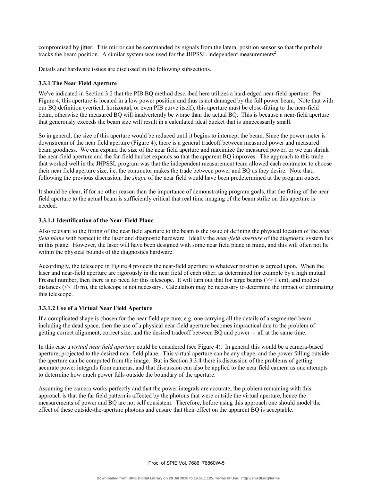compromised by jitter. This mirror can be commanded by signals from the lateral position sensor so that the pinhole tracks the beam position. A similar system was used for the JHPSSL independent measurements<sup>2</sup>.

Details and hardware issues are discussed in the following subsections.

## **3.3.1 The Near Field Aperture**

We've indicated in Section 3.2 that the PIB BQ method described here utilizes a hard-edged near-field aperture. Per Figure 4, this aperture is located in a low power position and thus is not damaged by the full power beam. Note that with our BQ definition (vertical, horizontal, or even PIB curve itself), this aperture must be close-fitting to the near-field beam, otherwise the measured BQ will inadvertently be worse than the actual BQ. This is because a near-field aperture that generously exceeds the beam size will result in a calculated ideal bucket that is unnecessarily small.

So in general, the size of this aperture would be reduced until it begins to intercept the beam. Since the power meter is downstream of the near field aperture (Figure 4), there is a general tradeoff between measured power and measured beam goodness. We can expand the size of the near field aperture and maximize the measured power, or we can shrink the near-field aperture and the far-field bucket expands so that the apparent BQ improves. The approach to this trade that worked well in the JHPSSL program was that the independent measurement team allowed each contractor to choose their near field aperture size, i.e. the contractor makes the trade between power and BQ as they desire. Note that, following the previous discussion, the *shape* of the near field would have been predetermined at the program outset.

It should be clear, if for no other reason than the importance of demonstrating program goals, that the fitting of the near field aperture to the actual beam is sufficiently critical that real time imaging of the beam strike on this aperture is needed.

## **3.3.1.1 Identification of the Near-Field Plane**

Also relevant to the fitting of the near field aperture to the beam is the issue of defining the physical location of the *near field plane* with respect to the laser and diagnostic hardware. Ideally the *near-field aperture* of the diagnostic system lies in this plane. However, the laser will have been designed with some near field plane in mind, and this will often not lie within the physical bounds of the diagnostics hardware.

Accordingly, the telescope in Figure 4 projects the near-field aperture to whatever position is agreed upon. When the laser and near-field aperture are rigorously in the near field of each other, as determined for example by a high mutual Fresnel number, then there is no need for this telescope. It will turn out that for large beams  $(>= 1 \text{ cm})$ , and modest distances  $\ll$  10 m), the telescope is not necessary. Calculation may be necessary to determine the impact of eliminating this telescope.

## **3.3.1.2 Use of a Virtual Near Field Aperture**

If a complicated shape is chosen for the near field aperture, e.g. one carrying all the details of a segmented beam including the dead space, then the use of a physical near-field aperture becomes impractical due to the problem of getting correct alignment, correct size, and the desired tradeoff between BQ and power - all at the same time.

In this case a *virtual near field aperture* could be considered (see Figure 4). In general this would be a camera-based aperture, projected to the desired near-field plane. This virtual aperture can be any shape, and the power falling outside the aperture can be computed from the image. But in Section 3.3.4 there is discussion of the problems of getting accurate power integrals from cameras, and that discussion can also be applied to the near field camera as one attempts to determine how much power falls outside the boundary of the aperture.

Assuming the camera works perfectly and that the power integrals are accurate, the problem remaining with this approach is that the far field pattern is affected by the photons that were outside the virtual aperture, hence the measurements of power and BQ are not self consistent. Therefore, before using this approach one should model the effect of these outside-the-aperture photons and ensure that their effect on the apparent BQ is acceptable.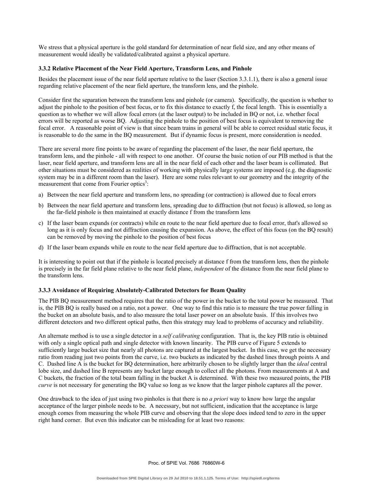We stress that a physical aperture is the gold standard for determination of near field size, and any other means of measurement would ideally be validated/calibrated against a physical aperture.

## **3.3.2 Relative Placement of the Near Field Aperture, Transform Lens, and Pinhole**

Besides the placement issue of the near field aperture relative to the laser (Section 3.3.1.1), there is also a general issue regarding relative placement of the near field aperture, the transform lens, and the pinhole.

Consider first the separation between the transform lens and pinhole (or camera). Specifically, the question is whether to adjust the pinhole to the position of best focus, or to fix this distance to exactly f, the focal length. This is essentially a question as to whether we will allow focal errors (at the laser output) to be included in BQ or not, i.e. whether focal errors will be reported as worse BQ. Adjusting the pinhole to the position of best focus is equivalent to removing the focal error. A reasonable point of view is that since beam trains in general will be able to correct residual static focus, it is reasonable to do the same in the BQ measurement. But if dynamic focus is present, more consideration is needed.

There are several more fine points to be aware of regarding the placement of the laser, the near field aperture, the transform lens, and the pinhole - all with respect to one another. Of course the basic notion of our PIB method is that the laser, near field aperture, and transform lens are all in the near field of each other and the laser beam is collimated. But other situations must be considered as realities of working with physically large systems are imposed (e.g. the diagnostic system may be in a different room than the laser). Here are some rules relevant to our geometry and the integrity of the measurement that come from Fourier optics<sup>3</sup>:

- a) Between the near field aperture and transform lens, no spreading (or contraction) is allowed due to focal errors
- b) Between the near field aperture and transform lens, spreading due to diffraction (but not focus) is allowed, so long as the far-field pinhole is then maintained at exactly distance f from the transform lens
- c) If the laser beam expands (or contracts) while en route to the near field aperture due to focal error, that's allowed so long as it is only focus and not diffraction causing the expansion. As above, the effect of this focus (on the BQ result) can be removed by moving the pinhole to the position of best focus
- d) If the laser beam expands while en route to the near field aperture due to diffraction, that is not acceptable.

It is interesting to point out that if the pinhole is located precisely at distance f from the transform lens, then the pinhole is precisely in the far field plane relative to the near field plane, *independent* of the distance from the near field plane to the transform lens.

#### **3.3.3 Avoidance of Requiring Absolutely-Calibrated Detectors for Beam Quality**

The PIB BQ measurement method requires that the ratio of the power in the bucket to the total power be measured. That is, the PIB BQ is really based on a ratio, not a power. One way to find this ratio is to measure the true power falling in the bucket on an absolute basis, and to also measure the total laser power on an absolute basis. If this involves two different detectors and two different optical paths, then this strategy may lead to problems of accuracy and reliability.

An alternate method is to use a single detector in a *self calibrating* configuration. That is, the key PIB ratio is obtained with only a single optical path and single detector with known linearity. The PIB curve of Figure 5 extends to sufficiently large bucket size that nearly all photons are captured at the largest bucket. In this case, we get the necessary ratio from reading just two points from the curve, i.e. two buckets as indicated by the dashed lines through points A and C. Dashed line A is the bucket for BQ determination, here arbitrarily chosen to be slightly larger than the *ideal* central lobe size, and dashed line B represents any bucket large enough to collect all the photons. From measurements at A and C buckets, the fraction of the total beam falling in the bucket A is determined. With these two measured points, the PIB *curve* is not necessary for generating the BQ value so long as we know that the larger pinhole captures all the power.

One drawback to the idea of just using two pinholes is that there is no *a priori* way to know how large the angular acceptance of the larger pinhole needs to be. A necessary, but not sufficient, indication that the acceptance is large enough comes from measuring the whole PIB curve and observing that the slope does indeed tend to zero in the upper right hand corner. But even this indicator can be misleading for at least two reasons: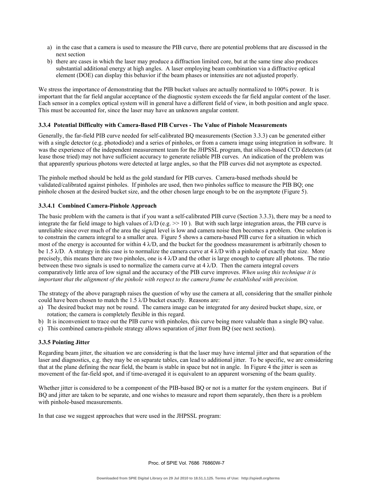- a) in the case that a camera is used to measure the PIB curve, there are potential problems that are discussed in the next section
- b) there are cases in which the laser may produce a diffraction limited core, but at the same time also produces substantial additional energy at high angles. A laser employing beam combination via a diffractive optical element (DOE) can display this behavior if the beam phases or intensities are not adjusted properly.

We stress the importance of demonstrating that the PIB bucket values are actually normalized to 100% power. It is important that the far field angular acceptance of the diagnostic system exceeds the far field angular content of the laser. Each sensor in a complex optical system will in general have a different field of view, in both position and angle space. This must be accounted for, since the laser may have an unknown angular content.

## **3.3.4 Potential Difficulty with Camera-Based PIB Curves - The Value of Pinhole Measurements**

Generally, the far-field PIB curve needed for self-calibrated BQ measurements (Section 3.3.3) can be generated either with a single detector (e.g. photodiode) and a series of pinholes, or from a camera image using integration in software. It was the experience of the independent measurement team for the JHPSSL program, that silicon-based CCD detectors (at lease those tried) may not have sufficient accuracy to generate reliable PIB curves. An indication of the problem was that apparently spurious photons were detected at large angles, so that the PIB curves did not asymptote as expected.

The pinhole method should be held as the gold standard for PIB curves. Camera-based methods should be validated/calibrated against pinholes. If pinholes are used, then two pinholes suffice to measure the PIB BQ; one pinhole chosen at the desired bucket size, and the other chosen large enough to be on the asymptote (Figure 5).

## **3.3.4.1 Combined Camera-Pinhole Approach**

The basic problem with the camera is that if you want a self-calibrated PIB curve (Section 3.3.3), there may be a need to integrate the far field image to high values of  $\lambda/D$  (e.g.  $\geq 10$ ). But with such large integration areas, the PIB curve is unreliable since over much of the area the signal level is low and camera noise then becomes a problem. One solution is to constrain the camera integral to a smaller area. Figure 5 shows a camera-based PIB curve for a situation in which most of the energy is accounted for within  $4 \lambda/D$ , and the bucket for the goodness measurement is arbitrarily chosen to be 1.5  $\lambda$ D. A strategy in this case is to normalize the camera curve at 4  $\lambda$ D with a pinhole of exactly that size. More precisely, this means there are two pinholes, one is  $4\lambda/D$  and the other is large enough to capture all photons. The ratio between these two signals is used to normalize the camera curve at  $4 \lambda/D$ . Then the camera integral covers comparatively little area of low signal and the accuracy of the PIB curve improves. *When using this technique it is important that the alignment of the pinhole with respect to the camera frame be established with precision.* 

The strategy of the above paragraph raises the question of why use the camera at all, considering that the smaller pinhole could have been chosen to match the  $1.5 \lambda/D$  bucket exactly. Reasons are:

- a) The desired bucket may not be round. The camera image can be integrated for any desired bucket shape, size, or rotation; the camera is completely flexible in this regard.
- b) It is inconvenient to trace out the PIB curve with pinholes, this curve being more valuable than a single BQ value.
- c) This combined camera-pinhole strategy allows separation of jitter from BQ (see next section).

#### **3.3.5 Pointing Jitter**

Regarding beam jitter, the situation we are considering is that the laser may have internal jitter and that separation of the laser and diagnostics, e.g. they may be on separate tables, can lead to additional jitter. To be specific, we are considering that at the plane defining the near field, the beam is stable in space but not in angle. In Figure 4 the jitter is seen as movement of the far-field spot, and if time-averaged it is equivalent to an apparent worsening of the beam quality.

Whether jitter is considered to be a component of the PIB-based BQ or not is a matter for the system engineers. But if BQ and jitter are taken to be separate, and one wishes to measure and report them separately, then there is a problem with pinhole-based measurements.

In that case we suggest approaches that were used in the JHPSSL program: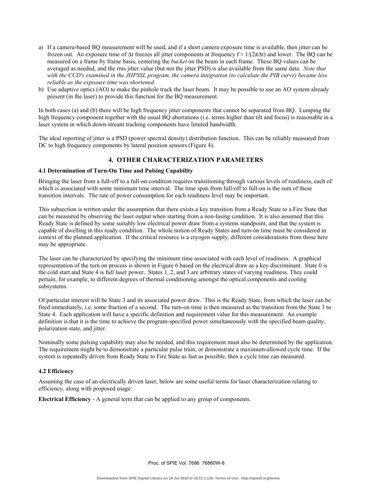- a) If a camera-based BQ measurement will be used, and if a short camera exposure time is available, then jitter can be frozen out. An exposure time of  $\Delta t$  freezes all jitter components at frequency  $f \approx 1/(2\pi\Delta t)$  and lower. The BO can be measured on a frame by frame basis, centering the *bucket* on the beam in each frame. These BQ values can be averaged as needed, and the rms jitter value (but not the jitter PSD) is also available from the same data. *Note that with the CCD's examined in the JHPSSL program, the camera integration (to calculate the PIB curve) became less reliable as the exposure time was shortened.*
- b) Use adaptive optics (AO) to make the pinhole track the laser beam. It may be possible to use an AO system already present (in the laser) to provide this function for the BQ measurement.

In both cases (a) and (b) there will be high frequency jitter components that cannot be separated from BQ. Lumping the high frequency component together with the usual BQ aberrations (i.e. terms higher than tilt and focus) is reasonable in a laser system in which down-stream tracking components have limited bandwidth.

The ideal reporting of jitter is a PSD (power spectral density) distribution function. This can be reliably measured from DC to high frequency components by lateral position sensors (Figure 4).

# **4. OTHER CHARACTERIZATION PARAMETERS**

## **4.1 Determination of Turn-On Time and Pulsing Capability**

Bringing the laser from a full-off to a full-on condition requires transitioning through various levels of readiness, each of which is associated with some minimum time interval. The time span from full-off to full-on is the sum of these transition intervals. The rate of power consumption for each readiness level may be important.

This subsection is written under the assumption that there exists a key transition from a Ready State to a Fire State that can be measured by observing the laser output when starting from a non-lasing condition. It is also assumed that this Ready State is defined by some suitably low electrical power draw from a systems standpoint, and that the system is capable of dwelling in this ready condition. The whole notion of Ready States and turn-on time must be considered in context of the planned application. If the critical resource is a cryogen supply, different considerations from those here may be appropriate.

The laser can be characterized by specifying the minimum time associated with each level of readiness. A graphical representation of the turn on process is shown in Figure 6 based on the electrical draw as a key discriminant. State 0 is the cold start and State 4 is full laser power. States 1, 2, and 3 are arbitrary states of varying readiness. They could pertain, for example, to different degrees of thermal conditioning amongst the optical components and cooling subsystems.

Of particular interest will be State 3 and its associated power draw. This is the Ready State, from which the laser can be fired immediately, i.e. some fraction of a second. The turn-on time is then measured as the transition from the State 3 to State 4. Each application will have a specific definition and requirement value for this measurement. An example definition is that it is the time to achieve the program-specified power simultaneously with the specified beam quality, polarization state, and jitter.

Nominally some pulsing capability may also be needed, and this requirement must also be determined by the application. The requirement might be to demonstrate a particular pulse train, or demonstrate a maximum-allowed cycle time. If the system is repeatedly driven from Ready State to Fire State as fast as possible, then a cycle time can measured.

#### **4.2 Efficiency**

Assuming the case of an electrically driven laser, below are some useful terms for laser characterization relating to efficiency, along with proposed usage:

**Electrical Efficiency** - A general term that can be applied to any group of components.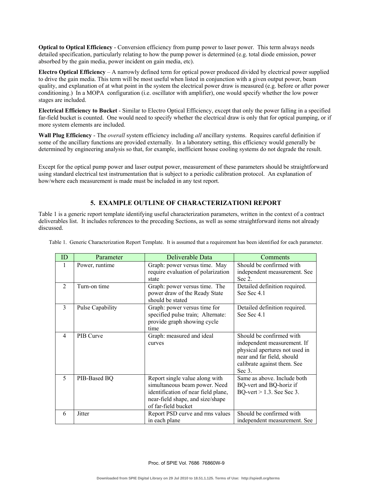**Optical to Optical Efficiency** - Conversion efficiency from pump power to laser power. This term always needs detailed specification, particularly relating to how the pump power is determined (e.g. total diode emission, power absorbed by the gain media, power incident on gain media, etc).

**Electro Optical Efficiency** – A narrowly defined term for optical power produced divided by electrical power supplied to drive the gain media. This term will be most useful when listed in conjunction with a given output power, beam quality, and explanation of at what point in the system the electrical power draw is measured (e.g. before or after power conditioning.) In a MOPA configuration (i.e. oscillator with amplifier), one would specify whether the low power stages are included.

**Electrical Efficiency to Bucket** - Similar to Electro Optical Efficiency, except that only the power falling in a specified far-field bucket is counted. One would need to specify whether the electrical draw is only that for optical pumping, or if more system elements are included.

**Wall Plug Efficiency** - The *overall* system efficiency including *all* ancillary systems. Requires careful definition if some of the ancillary functions are provided externally. In a laboratory setting, this efficiency would generally be determined by engineering analysis so that, for example, inefficient house cooling systems do not degrade the result.

Except for the optical pump power and laser output power, measurement of these parameters should be straightforward using standard electrical test instrumentation that is subject to a periodic calibration protocol. An explanation of how/where each measurement is made must be included in any test report.

# **5. EXAMPLE OUTLINE OF CHARACTERIZATIONI REPORT**

Table 1 is a generic report template identifying useful characterization parameters, written in the context of a contract deliverables list. It includes references to the preceding Sections, as well as some straightforward items not already discussed.

| ID             | Parameter               | Deliverable Data                                                                                                                                                  | Comments                                                                                                                                                         |
|----------------|-------------------------|-------------------------------------------------------------------------------------------------------------------------------------------------------------------|------------------------------------------------------------------------------------------------------------------------------------------------------------------|
| $\mathbf{1}$   | Power, runtime          | Graph: power versus time. May<br>require evaluation of polarization<br>state                                                                                      | Should be confirmed with<br>independent measurement. See<br>Sec $2$ .                                                                                            |
| $\overline{2}$ | Turn-on time            | Graph: power versus time. The<br>power draw of the Ready State<br>should be stated                                                                                | Detailed definition required.<br>See Sec 4.1                                                                                                                     |
| 3              | <b>Pulse Capability</b> | Graph: power versus time for<br>specified pulse train; Alternate:<br>provide graph showing cycle<br>time                                                          | Detailed definition required.<br>See Sec 4.1                                                                                                                     |
| $\overline{4}$ | PIB Curve               | Graph: measured and ideal<br>curves                                                                                                                               | Should be confirmed with<br>independent measurement. If<br>physical apertures not used in<br>near and far field, should<br>calibrate against them. See<br>Sec 3. |
| 5              | PIB-Based BQ            | Report single value along with<br>simultaneous beam power. Need<br>identification of near field plane,<br>near-field shape, and size/shape<br>of far-field bucket | Same as above. Include both<br>BQ-vert and BQ-horiz if<br>$BQ$ -vert $> 1.3$ . See Sec 3.                                                                        |
| 6              | Jitter                  | Report PSD curve and rms values<br>in each plane                                                                                                                  | Should be confirmed with<br>independent measurement. See                                                                                                         |

Table 1. Generic Characterization Report Template. It is assumed that a requirement has been identified for each parameter.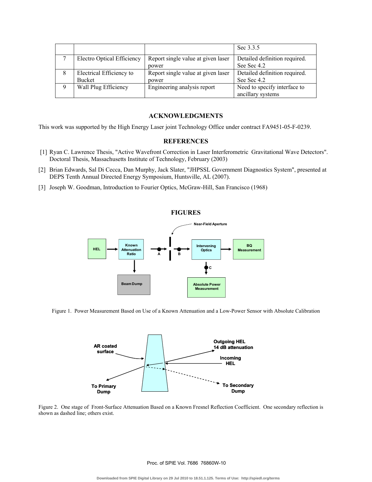|   |                            |                                    | Sec 3.3.5                     |
|---|----------------------------|------------------------------------|-------------------------------|
|   | Electro Optical Efficiency | Report single value at given laser | Detailed definition required. |
|   |                            | power                              | See Sec 4.2                   |
| 8 | Electrical Efficiency to   | Report single value at given laser | Detailed definition required. |
|   | Bucket                     | power                              | See Sec 4.2                   |
| 9 | Wall Plug Efficiency       | Engineering analysis report        | Need to specify interface to  |
|   |                            |                                    | ancillary systems             |

## **ACKNOWLEDGMENTS**

This work was supported by the High Energy Laser joint Technology Office under contract FA9451-05-F-0239.

#### **REFERENCES**

- [1] Ryan C. Lawrence Thesis, "Active Wavefront Correction in Laser Interferometric Gravitational Wave Detectors". Doctoral Thesis, Massachusetts Institute of Technology, February (2003)
- [2] Brian Edwards, Sal Di Cecca, Dan Murphy, Jack Slater, "JHPSSL Government Diagnostics System", presented at DEPS Tenth Annual Directed Energy Symposium, Huntsville, AL (2007).
- [3] Joseph W. Goodman, Introduction to Fourier Optics, McGraw-Hill, San Francisco (1968)

**HEL Known Attenuation Ratio Beam Dump Near-Field Aperture Intervening Optics Absolute Power Measurement BQ Measurement C A B FIGURES** 

Figure 1. Power Measurement Based on Use of a Known Attenuation and a Low-Power Sensor with Absolute Calibration



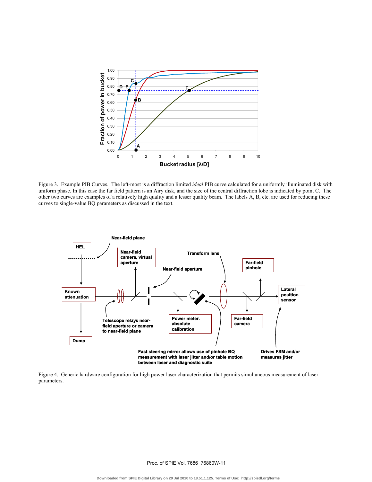

Figure 3. Example PIB Curves. The left-most is a diffraction limited *ideal* PIB curve calculated for a uniformly illuminated disk with uniform phase. In this case the far field pattern is an Airy disk, and the size of the central diffraction lobe is indicated by point C. The other two curves are examples of a relatively high quality and a lesser quality beam. The labels A, B, etc. are used for reducing these curves to single-value BQ parameters as discussed in the text.



Figure 4. Generic hardware configuration for high power laser characterization that permits simultaneous measurement of laser parameters.